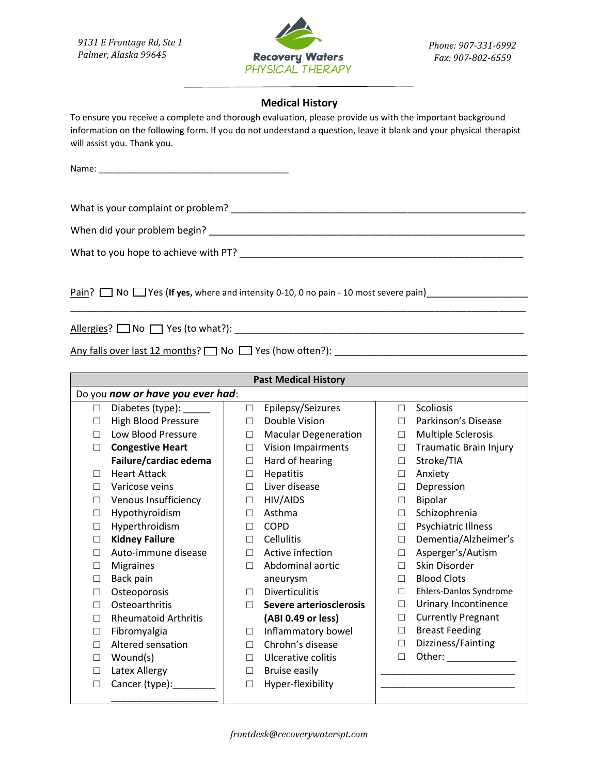*9131 E Frontage Rd, Ste 1 Palmer, Alaska 99645*



*Phone: 907-331-6992 Fax: 907-802-6559*

## **Medical History**

To ensure you receive a complete and thorough evaluation, please provide us with the important background information on the following form. If you do not understand a question, leave it blank and your physical therapist will assist you. Thank you.

\_\_\_\_\_\_\_\_\_\_\_\_\_\_\_\_\_\_\_\_\_\_\_\_\_\_\_\_\_\_\_\_\_\_\_\_\_\_\_\_\_\_\_\_\_\_\_\_\_\_\_\_\_\_\_\_\_\_\_\_\_\_\_\_\_\_\_\_\_\_\_\_\_\_\_\_\_\_\_\_\_\_\_\_\_

Name:

What is your complaint or problem? \_\_\_\_\_\_\_\_\_\_\_\_\_\_\_\_\_\_\_\_\_\_\_\_\_\_\_\_\_\_\_\_\_\_\_\_\_\_\_\_\_\_\_\_\_\_\_\_\_\_\_\_\_\_\_

When did your problem begin? \_\_\_\_\_\_\_\_\_\_\_\_\_\_\_\_\_\_\_\_\_\_\_\_\_\_\_\_\_\_\_\_\_\_\_\_\_\_\_\_\_\_\_\_\_\_\_\_\_\_\_\_\_\_\_\_\_\_\_

What to you hope to achieve with PT? \_\_\_\_\_\_\_\_\_\_\_\_\_\_\_\_\_\_\_\_\_\_\_\_\_\_\_\_\_\_\_\_\_\_\_\_\_\_\_\_\_\_\_\_\_\_\_\_\_\_\_\_\_

Pain?  $\Box$  No  $\Box$  Yes (If yes, where and intensity 0-10, 0 no pain - 10 most severe pain)

Allergies? No Yes (to what?): \_\_\_\_\_\_\_\_\_\_\_\_\_\_\_\_\_\_\_\_\_\_\_\_\_\_\_\_\_\_\_\_\_\_\_\_\_\_\_\_\_\_\_\_\_\_\_\_\_\_\_\_\_\_

Any falls over last 12 months? No Yes (how often?): \_\_\_\_\_\_\_\_\_\_\_\_\_\_\_\_\_\_\_\_\_\_\_\_\_\_\_\_\_\_\_\_\_\_\_\_

| <b>Past Medical History</b>      |                             |        |                             |        |                               |  |  |
|----------------------------------|-----------------------------|--------|-----------------------------|--------|-------------------------------|--|--|
| Do you now or have you ever had: |                             |        |                             |        |                               |  |  |
| П                                | Diabetes (type): ______     | $\Box$ | Epilepsy/Seizures           | $\Box$ | Scoliosis                     |  |  |
| П                                | <b>High Blood Pressure</b>  | П      | Double Vision               | П      | Parkinson's Disease           |  |  |
|                                  | Low Blood Pressure          | $\Box$ | <b>Macular Degeneration</b> | $\Box$ | <b>Multiple Sclerosis</b>     |  |  |
| П                                | <b>Congestive Heart</b>     | П      | Vision Impairments          | $\Box$ | <b>Traumatic Brain Injury</b> |  |  |
|                                  | Failure/cardiac edema       | $\Box$ | Hard of hearing             | $\Box$ | Stroke/TIA                    |  |  |
| П                                | <b>Heart Attack</b>         | $\Box$ | Hepatitis                   | □      | Anxiety                       |  |  |
| П                                | Varicose veins              | $\Box$ | Liver disease               | $\Box$ | Depression                    |  |  |
| $\Box$                           | Venous Insufficiency        | $\Box$ | HIV/AIDS                    | □      | Bipolar                       |  |  |
| □                                | Hypothyroidism              | П      | Asthma                      | $\Box$ | Schizophrenia                 |  |  |
| □                                | Hyperthroidism              | П      | <b>COPD</b>                 | $\Box$ | Psychiatric Illness           |  |  |
| $\Box$                           | <b>Kidney Failure</b>       | П      | <b>Cellulitis</b>           | $\Box$ | Dementia/Alzheimer's          |  |  |
| П                                | Auto-immune disease         | П      | Active infection            | $\Box$ | Asperger's/Autism             |  |  |
| П                                | <b>Migraines</b>            | П      | Abdominal aortic            | П      | Skin Disorder                 |  |  |
| □                                | Back pain                   |        | aneurysm                    | $\Box$ | <b>Blood Clots</b>            |  |  |
| П                                | Osteoporosis                | П      | <b>Diverticulitis</b>       | $\Box$ | Ehlers-Danlos Syndrome        |  |  |
| П                                | Osteoarthritis              | П      | Severe arteriosclerosis     | $\Box$ | Urinary Incontinence          |  |  |
| П                                | <b>Rheumatoid Arthritis</b> |        | (ABI 0.49 or less)          | $\Box$ | <b>Currently Pregnant</b>     |  |  |
| П                                | Fibromyalgia                | П      | Inflammatory bowel          | $\Box$ | <b>Breast Feeding</b>         |  |  |
| П                                | Altered sensation           | П      | Chrohn's disease            | $\Box$ | Dizziness/Fainting            |  |  |
| П                                | Wound(s)                    | □      | Ulcerative colitis          | $\Box$ |                               |  |  |
| П                                | Latex Allergy               | $\Box$ | <b>Bruise easily</b>        |        |                               |  |  |
| П                                | Cancer (type):              | П      | Hyper-flexibility           |        |                               |  |  |
|                                  |                             |        |                             |        |                               |  |  |

*frontdesk@recoverywaterspt.com*